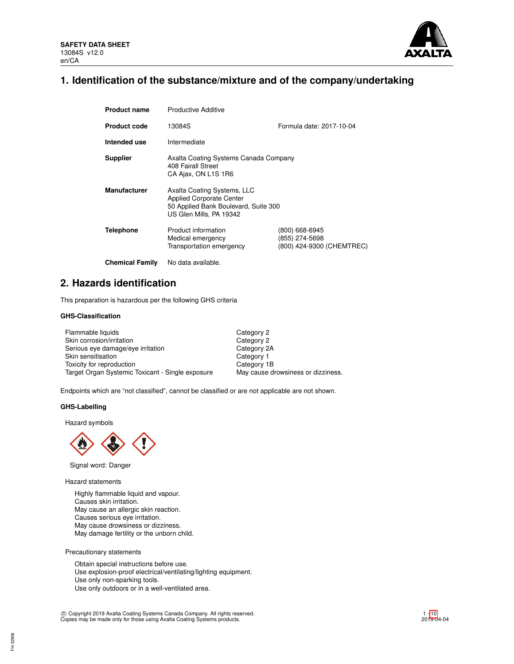

# **1. Identification of the substance/mixture and of the company/undertaking**

| <b>Product name</b>    | <b>Productive Additive</b>                                                                                                        |                                                               |
|------------------------|-----------------------------------------------------------------------------------------------------------------------------------|---------------------------------------------------------------|
| <b>Product code</b>    | 13084S                                                                                                                            | Formula date: 2017-10-04                                      |
| Intended use           | Intermediate                                                                                                                      |                                                               |
| <b>Supplier</b>        | Axalta Coating Systems Canada Company<br>408 Fairall Street<br>CA Ajax, ON L1S 1R6                                                |                                                               |
| <b>Manufacturer</b>    | Axalta Coating Systems, LLC<br><b>Applied Corporate Center</b><br>50 Applied Bank Boulevard, Suite 300<br>US Glen Mills, PA 19342 |                                                               |
| <b>Telephone</b>       | Product information<br>Medical emergency<br>Transportation emergency                                                              | (800) 668-6945<br>(855) 274-5698<br>(800) 424-9300 (CHEMTREC) |
| <b>Chemical Family</b> | No data available.                                                                                                                |                                                               |

## **2. Hazards identification**

This preparation is hazardous per the following GHS criteria

## **GHS-Classification**

| Flammable liquids                                | Category 2                         |
|--------------------------------------------------|------------------------------------|
| Skin corrosion/irritation                        | Category 2                         |
| Serious eye damage/eye irritation                | Category 2A                        |
| Skin sensitisation                               | Category 1                         |
| Toxicity for reproduction                        | Category 1B                        |
| Target Organ Systemic Toxicant - Single exposure | May cause drowsiness or dizziness. |

Endpoints which are "not classified", cannot be classified or are not applicable are not shown.

## **GHS-Labelling**

Hazard symbols



Signal word: Danger

Hazard statements

Highly flammable liquid and vapour. Causes skin irritation. May cause an allergic skin reaction. Causes serious eye irritation. May cause drowsiness or dizziness. May damage fertility or the unborn child.

Precautionary statements

FH-32908

Obtain special instructions before use. Use explosion-proof electrical/ventilating/lighting equipment. Use only non-sparking tools. Use only outdoors or in a well-ventilated area.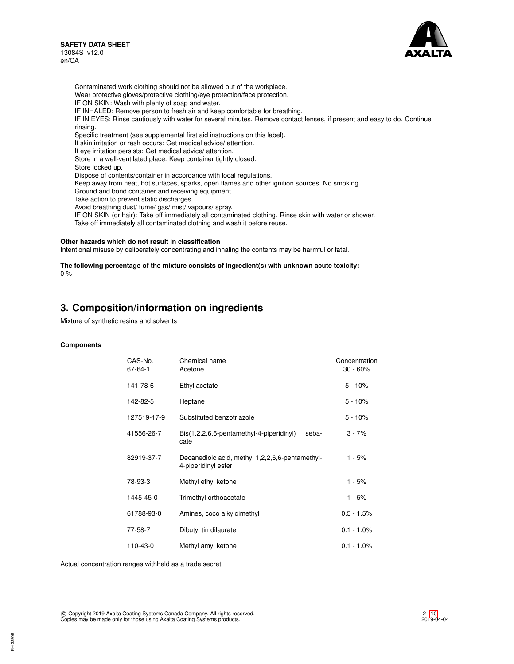

Contaminated work clothing should not be allowed out of the workplace. Wear protective gloves/protective clothing/eye protection/face protection. IF ON SKIN: Wash with plenty of soap and water. IF INHALED: Remove person to fresh air and keep comfortable for breathing. IF IN EYES: Rinse cautiously with water for several minutes. Remove contact lenses, if present and easy to do. Continue rinsing. Specific treatment (see supplemental first aid instructions on this label). If skin irritation or rash occurs: Get medical advice/ attention. If eye irritation persists: Get medical advice/ attention. Store in a well-ventilated place. Keep container tightly closed. Store locked up. Dispose of contents/container in accordance with local regulations. Keep away from heat, hot surfaces, sparks, open flames and other ignition sources. No smoking. Ground and bond container and receiving equipment. Take action to prevent static discharges. Avoid breathing dust/ fume/ gas/ mist/ vapours/ spray. IF ON SKIN (or hair): Take off immediately all contaminated clothing. Rinse skin with water or shower.

Take off immediately all contaminated clothing and wash it before reuse.

## **Other hazards which do not result in classification**

Intentional misuse by deliberately concentrating and inhaling the contents may be harmful or fatal.

#### **The following percentage of the mixture consists of ingredient(s) with unknown acute toxicity:** 0 %

## **3. Composition/information on ingredients**

Mixture of synthetic resins and solvents

## **Components**

| CAS-No.       | Chemical name                                                          | Concentration |
|---------------|------------------------------------------------------------------------|---------------|
| $67 - 64 - 1$ | Acetone                                                                | $30 - 60%$    |
| 141-78-6      | Ethyl acetate                                                          | $5 - 10%$     |
| 142-82-5      | Heptane                                                                | $5 - 10%$     |
| 127519-17-9   | Substituted benzotriazole                                              | $5 - 10%$     |
| 41556-26-7    | Bis(1,2,2,6,6-pentamethyl-4-piperidinyl)<br>seba-<br>cate              | $3 - 7%$      |
| 82919-37-7    | Decanedioic acid, methyl 1,2,2,6,6-pentamethyl-<br>4-piperidinyl ester | 1 - 5%        |
| 78-93-3       | Methyl ethyl ketone                                                    | $1 - 5%$      |
| 1445-45-0     | Trimethyl orthoacetate                                                 | 1 - 5%        |
| 61788-93-0    | Amines, coco alkyldimethyl                                             | $0.5 - 1.5%$  |
| 77-58-7       | Dibutyl tin dilaurate                                                  | $0.1 - 1.0\%$ |
| 110-43-0      | Methyl amyl ketone                                                     | $0.1 - 1.0\%$ |

Actual concentration ranges withheld as a trade secret.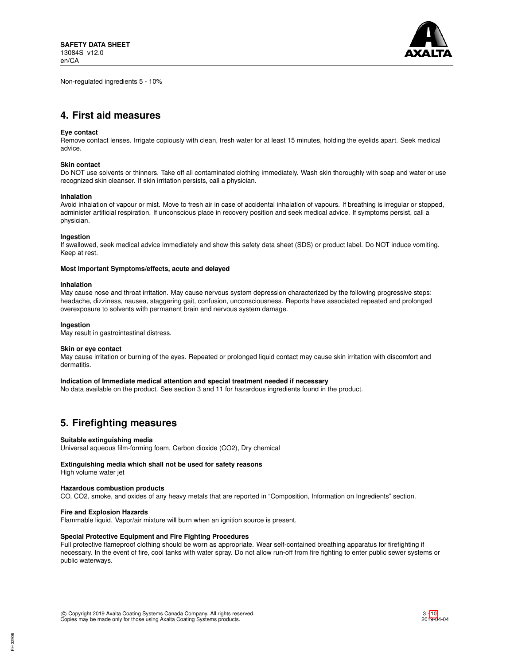Non-regulated ingredients 5 - 10%



# **4. First aid measures**

## **Eye contact**

Remove contact lenses. Irrigate copiously with clean, fresh water for at least 15 minutes, holding the eyelids apart. Seek medical advice.

## **Skin contact**

Do NOT use solvents or thinners. Take off all contaminated clothing immediately. Wash skin thoroughly with soap and water or use recognized skin cleanser. If skin irritation persists, call a physician.

#### **Inhalation**

Avoid inhalation of vapour or mist. Move to fresh air in case of accidental inhalation of vapours. If breathing is irregular or stopped, administer artificial respiration. If unconscious place in recovery position and seek medical advice. If symptoms persist, call a physician.

#### **Ingestion**

If swallowed, seek medical advice immediately and show this safety data sheet (SDS) or product label. Do NOT induce vomiting. Keep at rest.

#### **Most Important Symptoms/effects, acute and delayed**

#### **Inhalation**

May cause nose and throat irritation. May cause nervous system depression characterized by the following progressive steps: headache, dizziness, nausea, staggering gait, confusion, unconsciousness. Reports have associated repeated and prolonged overexposure to solvents with permanent brain and nervous system damage.

#### **Ingestion**

May result in gastrointestinal distress.

#### **Skin or eye contact**

May cause irritation or burning of the eyes. Repeated or prolonged liquid contact may cause skin irritation with discomfort and dermatitis.

### **Indication of Immediate medical attention and special treatment needed if necessary**

No data available on the product. See section 3 and 11 for hazardous ingredients found in the product.

## **5. Firefighting measures**

#### **Suitable extinguishing media**

Universal aqueous film-forming foam, Carbon dioxide (CO2), Dry chemical

## **Extinguishing media which shall not be used for safety reasons**

High volume water jet

#### **Hazardous combustion products**

CO, CO2, smoke, and oxides of any heavy metals that are reported in "Composition, Information on Ingredients" section.

#### **Fire and Explosion Hazards**

Flammable liquid. Vapor/air mixture will burn when an ignition source is present.

## **Special Protective Equipment and Fire Fighting Procedures**

Full protective flameproof clothing should be worn as appropriate. Wear self-contained breathing apparatus for firefighting if necessary. In the event of fire, cool tanks with water spray. Do not allow run-off from fire fighting to enter public sewer systems or public waterways.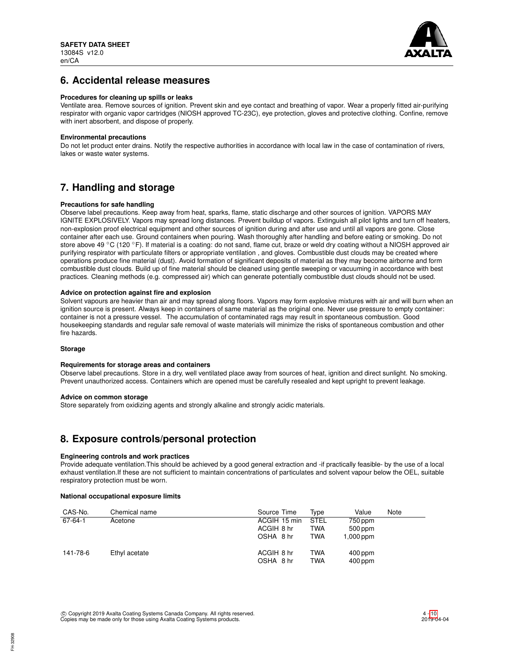

## **6. Accidental release measures**

### **Procedures for cleaning up spills or leaks**

Ventilate area. Remove sources of ignition. Prevent skin and eye contact and breathing of vapor. Wear a properly fitted air-purifying respirator with organic vapor cartridges (NIOSH approved TC-23C), eye protection, gloves and protective clothing. Confine, remove with inert absorbent, and dispose of properly.

## **Environmental precautions**

Do not let product enter drains. Notify the respective authorities in accordance with local law in the case of contamination of rivers, lakes or waste water systems.

# **7. Handling and storage**

## **Precautions for safe handling**

Observe label precautions. Keep away from heat, sparks, flame, static discharge and other sources of ignition. VAPORS MAY IGNITE EXPLOSIVELY. Vapors may spread long distances. Prevent buildup of vapors. Extinguish all pilot lights and turn off heaters, non-explosion proof electrical equipment and other sources of ignition during and after use and until all vapors are gone. Close container after each use. Ground containers when pouring. Wash thoroughly after handling and before eating or smoking. Do not store above 49 ℃ (120 °F). If material is a coating: do not sand, flame cut, braze or weld dry coating without a NIOSH approved air purifying respirator with particulate filters or appropriate ventilation , and gloves. Combustible dust clouds may be created where operations produce fine material (dust). Avoid formation of significant deposits of material as they may become airborne and form combustible dust clouds. Build up of fine material should be cleaned using gentle sweeping or vacuuming in accordance with best practices. Cleaning methods (e.g. compressed air) which can generate potentially combustible dust clouds should not be used.

## **Advice on protection against fire and explosion**

Solvent vapours are heavier than air and may spread along floors. Vapors may form explosive mixtures with air and will burn when an ignition source is present. Always keep in containers of same material as the original one. Never use pressure to empty container: container is not a pressure vessel. The accumulation of contaminated rags may result in spontaneous combustion. Good housekeeping standards and regular safe removal of waste materials will minimize the risks of spontaneous combustion and other fire hazards.

## **Storage**

## **Requirements for storage areas and containers**

Observe label precautions. Store in a dry, well ventilated place away from sources of heat, ignition and direct sunlight. No smoking. Prevent unauthorized access. Containers which are opened must be carefully resealed and kept upright to prevent leakage.

## **Advice on common storage**

Store separately from oxidizing agents and strongly alkaline and strongly acidic materials.

## **8. Exposure controls/personal protection**

## **Engineering controls and work practices**

Provide adequate ventilation.This should be achieved by a good general extraction and -if practically feasible- by the use of a local exhaust ventilation.If these are not sufficient to maintain concentrations of particulates and solvent vapour below the OEL, suitable respiratory protection must be worn.

## **National occupational exposure limits**

| CAS-No.  | Chemical name | Source Time             | Tvpe        | Value                  | Note |
|----------|---------------|-------------------------|-------------|------------------------|------|
| 67-64-1  | Acetone       | ACGIH 15 min            | <b>STEL</b> | 750 ppm                |      |
|          |               | ACGIH 8 hr              | TWA         | 500 ppm                |      |
|          |               | OSHA 8 hr               | TWA         | 1,000 ppm              |      |
| 141-78-6 | Ethyl acetate | ACGIH 8 hr<br>OSHA 8 hr | TWA<br>TWA  | $400$ ppm<br>$400$ ppm |      |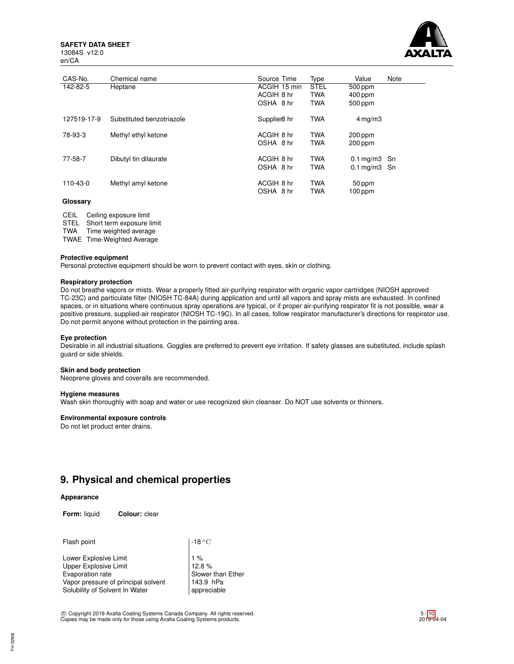**SAFETY DATA SHEET** 13084S v12.0



| 13084S v12. |  |
|-------------|--|
| en/CA       |  |

| CAS-No.     | Chemical name             | Source Time              | Type        | Value                     | Note |
|-------------|---------------------------|--------------------------|-------------|---------------------------|------|
| 142-82-5    | Heptane                   | ACGIH 15 min             | <b>STEL</b> | 500 ppm                   |      |
|             |                           | ACGIH 8 hr               | <b>TWA</b>  | $400$ ppm                 |      |
|             |                           | OSHA 8 hr                | <b>TWA</b>  | 500 ppm                   |      |
| 127519-17-9 | Substituted benzotriazole | Supplier <sub>8</sub> hr | <b>TWA</b>  | $4 \,\mathrm{mq/m}$ 3     |      |
| 78-93-3     | Methyl ethyl ketone       | ACGIH 8 hr               | <b>TWA</b>  | $200$ ppm                 |      |
|             |                           | OSHA 8 hr                | <b>TWA</b>  | $200$ ppm                 |      |
| 77-58-7     | Dibutyl tin dilaurate     | ACGIH 8 hr               | <b>TWA</b>  | $0.1 \text{mq/m}3$ Sn     |      |
|             |                           | OSHA 8 hr                | <b>TWA</b>  | $0.1 \,\mathrm{mg/m3}$ Sn |      |
| 110-43-0    | Methyl amyl ketone        | ACGIH 8 hr               | <b>TWA</b>  | 50 ppm                    |      |
|             |                           | OSHA 8 hr                | <b>TWA</b>  | $100$ ppm                 |      |

### **Glossary**

CEIL Ceiling exposure limit STEL Short term exposure limit TWA Time weighted average

TWAE Time-Weighted Average

#### **Protective equipment**

Personal protective equipment should be worn to prevent contact with eyes, skin or clothing.

### **Respiratory protection**

Do not breathe vapors or mists. Wear a properly fitted air-purifying respirator with organic vapor cartridges (NIOSH approved TC-23C) and particulate filter (NIOSH TC-84A) during application and until all vapors and spray mists are exhausted. In confined spaces, or in situations where continuous spray operations are typical, or if proper air-purifying respirator fit is not possible, wear a positive pressure, supplied-air respirator (NIOSH TC-19C). In all cases, follow respirator manufacturer's directions for respirator use. Do not permit anyone without protection in the painting area.

#### **Eye protection**

Desirable in all industrial situations. Goggles are preferred to prevent eye irritation. If safety glasses are substituted, include splash guard or side shields.

#### **Skin and body protection**

Neoprene gloves and coveralls are recommended.

#### **Hygiene measures**

Wash skin thoroughly with soap and water or use recognized skin cleanser. Do NOT use solvents or thinners.

## **Environmental exposure controls**

Do not let product enter drains.

## **9. Physical and chemical properties**

### **Appearance**

**Form:** liquid **Colour:** clear

| Flash point                                                                                                                                        | $\vert$ -18 $^{\circ}{\rm C}$                                   |
|----------------------------------------------------------------------------------------------------------------------------------------------------|-----------------------------------------------------------------|
| Lower Explosive Limit<br><b>Upper Explosive Limit</b><br>Evaporation rate<br>Vapor pressure of principal solvent<br>Solubility of Solvent In Water | $1\%$<br>12.8%<br>Slower than Ether<br>143.9 hPa<br>appreciable |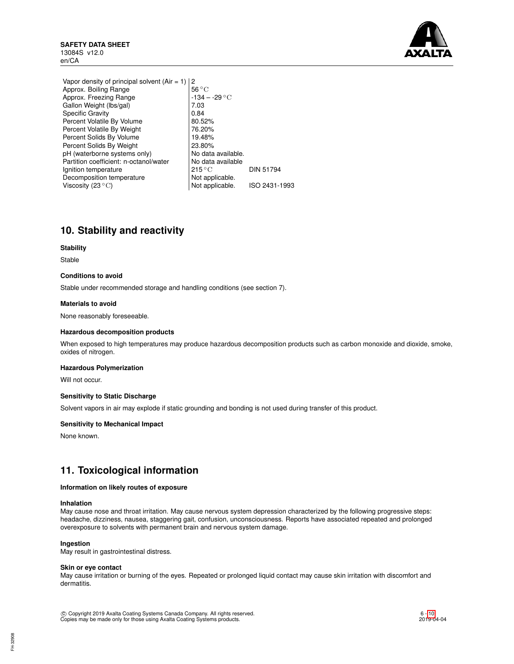

Vapor density of principal solvent (Air = 1)  $\begin{vmatrix} 2 \\ 56 \degree \text{C} \end{vmatrix}$ Approx. Boiling Range<br>Approx. Freezing Range 134 – -29 °C Approx. Freezing Range -134 – -29 ◦C Gallon Weight (lbs/gal) Specific Gravity  $\vert$  0.84 Percent Volatile By Volume 80.52% Percent Volatile By Weight 76.20%<br>
Percent Solids By Volume 19.48% Percent Solids By Volume Percent Solids By Weight | 23.80% pH (waterborne systems only) <br>
Partition coefficient: n-octanol/water <br>
No data available Partition coefficient: n-octanol/water  $\begin{array}{c|c} | \text{No data} \\ | \text{215} \text{°C} \end{array}$ Ignition temperature 215 °C DIN 51794 Decomposition temperature Not applicable. Viscosity  $(23 °C)$  Not applicable. ISO 2431-1993

# **10. Stability and reactivity**

## **Stability**

Stable

## **Conditions to avoid**

Stable under recommended storage and handling conditions (see section 7).

## **Materials to avoid**

None reasonably foreseeable.

### **Hazardous decomposition products**

When exposed to high temperatures may produce hazardous decomposition products such as carbon monoxide and dioxide, smoke, oxides of nitrogen.

## **Hazardous Polymerization**

Will not occur.

## **Sensitivity to Static Discharge**

Solvent vapors in air may explode if static grounding and bonding is not used during transfer of this product.

#### **Sensitivity to Mechanical Impact**

None known.

## **11. Toxicological information**

### **Information on likely routes of exposure**

## **Inhalation**

May cause nose and throat irritation. May cause nervous system depression characterized by the following progressive steps: headache, dizziness, nausea, staggering gait, confusion, unconsciousness. Reports have associated repeated and prolonged overexposure to solvents with permanent brain and nervous system damage.

#### **Ingestion**

May result in gastrointestinal distress.

### **Skin or eye contact**

May cause irritation or burning of the eyes. Repeated or prolonged liquid contact may cause skin irritation with discomfort and dermatitis.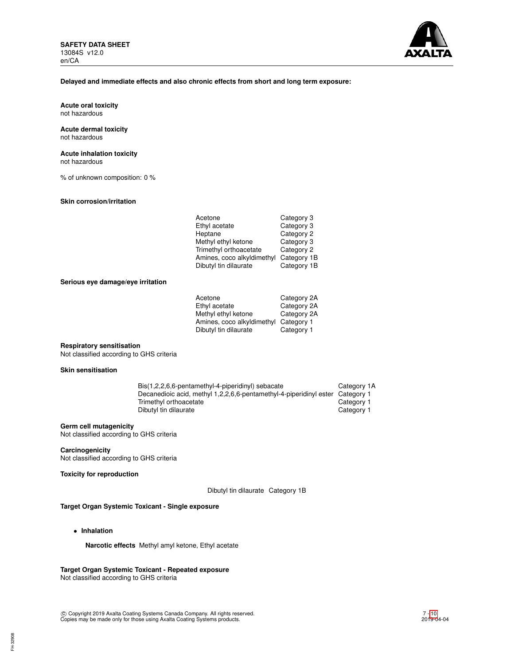

#### **Delayed and immediate effects and also chronic effects from short and long term exposure:**

**Acute oral toxicity** not hazardous

#### **Acute dermal toxicity** not hazardous

**Acute inhalation toxicity**

not hazardous

% of unknown composition: 0 %

## **Skin corrosion/irritation**

| Acetone                    | Category 3  |
|----------------------------|-------------|
| Ethyl acetate              | Category 3  |
| Heptane                    | Category 2  |
| Methyl ethyl ketone        | Category 3  |
| Trimethyl orthoacetate     | Category 2  |
| Amines, coco alkyldimethyl | Category 1B |
| Dibutyl tin dilaurate      | Category 1B |

## **Serious eye damage/eye irritation**

| Acetone                               | Category 2A |
|---------------------------------------|-------------|
| Ethyl acetate                         | Category 2A |
| Methyl ethyl ketone                   | Category 2A |
| Amines, coco alkyldimethyl Category 1 |             |
| Dibutyl tin dilaurate                 | Category 1  |
|                                       |             |

## **Respiratory sensitisation**

Not classified according to GHS criteria

## **Skin sensitisation**

| Bis(1,2,2,6,6-pentamethyl-4-piperidinyl) sebacate                             | Category 1A |
|-------------------------------------------------------------------------------|-------------|
| Decanedioic acid, methyl 1,2,2,6,6-pentamethyl-4-piperidinyl ester Category 1 |             |
| Trimethyl orthoacetate                                                        | Category 1  |
| Dibutyl tin dilaurate                                                         | Category 1  |
|                                                                               |             |

### **Germ cell mutagenicity**

Not classified according to GHS criteria

#### **Carcinogenicity** Not classified according to GHS criteria

**Toxicity for reproduction**

Dibutyl tin dilaurate Category 1B

## **Target Organ Systemic Toxicant - Single exposure**

• **Inhalation**

**Narcotic effects** Methyl amyl ketone, Ethyl acetate

## **Target Organ Systemic Toxicant - Repeated exposure**

Not classified according to GHS criteria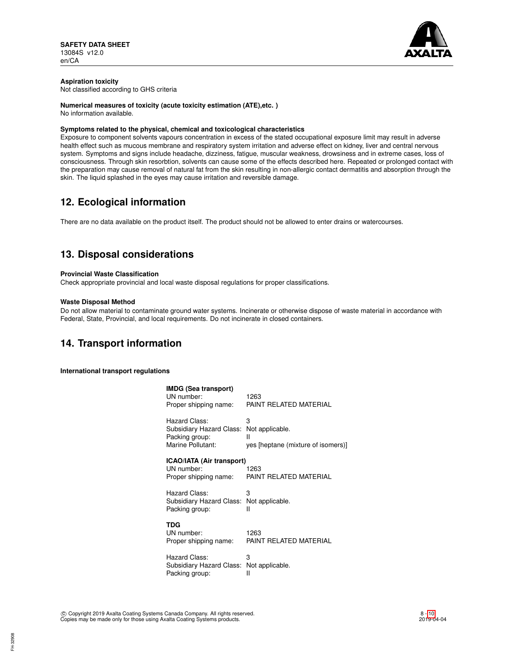

## **Aspiration toxicity**

Not classified according to GHS criteria

## **Numerical measures of toxicity (acute toxicity estimation (ATE),etc. )**

No information available.

## **Symptoms related to the physical, chemical and toxicological characteristics**

Exposure to component solvents vapours concentration in excess of the stated occupational exposure limit may result in adverse health effect such as mucous membrane and respiratory system irritation and adverse effect on kidney, liver and central nervous system. Symptoms and signs include headache, dizziness, fatigue, muscular weakness, drowsiness and in extreme cases, loss of consciousness. Through skin resorbtion, solvents can cause some of the effects described here. Repeated or prolonged contact with the preparation may cause removal of natural fat from the skin resulting in non-allergic contact dermatitis and absorption through the skin. The liquid splashed in the eyes may cause irritation and reversible damage.

# **12. Ecological information**

There are no data available on the product itself. The product should not be allowed to enter drains or watercourses.

# **13. Disposal considerations**

## **Provincial Waste Classification**

Check appropriate provincial and local waste disposal regulations for proper classifications.

## **Waste Disposal Method**

Do not allow material to contaminate ground water systems. Incinerate or otherwise dispose of waste material in accordance with Federal, State, Provincial, and local requirements. Do not incinerate in closed containers.

## **14. Transport information**

**International transport regulations**

| <b>IMDG (Sea transport)</b><br>UN number:<br>Proper shipping name:               | 1263<br>PAINT RELATED MATERIAL                                  |
|----------------------------------------------------------------------------------|-----------------------------------------------------------------|
| Hazard Class:<br>Subsidiary Hazard Class:<br>Packing group:<br>Marine Pollutant: | 3<br>Not applicable.<br>Ш<br>yes [heptane (mixture of isomers)] |
| <b>ICAO/IATA (Air transport)</b><br>UN number:<br>Proper shipping name:          | 1263<br>PAINT RELATED MATERIAL                                  |
| Hazard Class:<br>Subsidiary Hazard Class:<br>Packing group:                      | 3<br>Not applicable.<br>Ш                                       |
| TDG<br>UN number:<br>Proper shipping name:                                       | 1263<br>PAINT RELATED MATERIAL                                  |
| Hazard Class:                                                                    | 3                                                               |

Subsidiary Hazard Class: Not applicable.<br>Packing group: Il Packing group: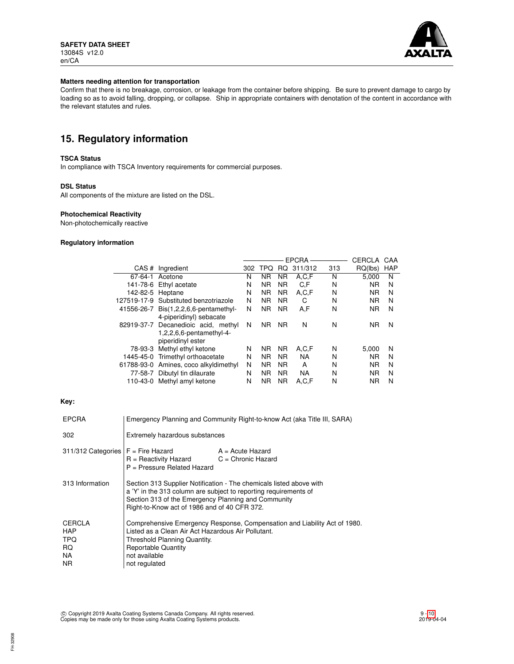

## **Matters needing attention for transportation**

Confirm that there is no breakage, corrosion, or leakage from the container before shipping. Be sure to prevent damage to cargo by loading so as to avoid falling, dropping, or collapse. Ship in appropriate containers with denotation of the content in accordance with the relevant statutes and rules.

# **15. Regulatory information**

## **TSCA Status**

In compliance with TSCA Inventory requirements for commercial purposes.

## **DSL Status**

All components of the mixture are listed on the DSL.

## **Photochemical Reactivity**

Non-photochemically reactive

## **Regulatory information**

|                  |                                       | <b>EPCRA</b> |           |           |           | CERCLA | CAA       |            |
|------------------|---------------------------------------|--------------|-----------|-----------|-----------|--------|-----------|------------|
|                  | CAS # Ingredient                      | 302          | TPQ       | RQ.       | 311/312   | 313    | RQ(lbs)   | <b>HAP</b> |
| 67-64-1          | Acetone                               | N            | ΝR        | <b>NR</b> | A,C,F     | N      | 5.000     | N          |
|                  | 141-78-6 Ethyl acetate                | N            | ΝR        | <b>NR</b> | C.F       | N      | <b>NR</b> | N          |
| 142-82-5 Heptane |                                       | N            | ΝR        | NR.       | A,C,F     | N      | <b>NR</b> | N          |
|                  | 127519-17-9 Substituted benzotriazole | N            | ΝR        | <b>NR</b> | C         | N      | <b>NR</b> | N          |
|                  | 41556-26-7 Bis(1,2,2,6,6-pentamethyl- | N            | NR.       | <b>NR</b> | A,F       | N      | <b>NR</b> | N          |
|                  | 4-piperidinyl) sebacate               |              |           |           |           |        |           |            |
|                  | 82919-37-7 Decanedioic acid, methyl   | N            | NR.       | <b>NR</b> | N         | N      | <b>NR</b> | N          |
|                  | 1,2,2,6,6-pentamethyl-4-              |              |           |           |           |        |           |            |
|                  | piperidinyl ester                     |              |           |           |           |        |           |            |
| 78-93-3          | Methyl ethyl ketone                   | N            | NR.       | <b>NR</b> | A,C,F     | N      | 5.000     | N          |
|                  | 1445-45-0 Trimethyl orthoacetate      | N            | NR.       | <b>NR</b> | <b>NA</b> | N      | <b>NR</b> | N          |
|                  | 61788-93-0 Amines, coco alkyldimethyl | N            | NR.       | <b>NR</b> | A         | N      | <b>NR</b> | N          |
|                  | 77-58-7 Dibutyl tin dilaurate         | N            | <b>NR</b> | <b>NR</b> | <b>NA</b> | N      | <b>NR</b> | N          |
|                  | 110-43-0 Methyl amyl ketone           | Ν            | <b>NR</b> | <b>NR</b> | A.C.F     | N      | <b>NR</b> | N          |

## **Key:**

| <b>EPCRA</b>                            | Emergency Planning and Community Right-to-know Act (aka Title III, SARA)                                                                                                                                                                       |                    |
|-----------------------------------------|------------------------------------------------------------------------------------------------------------------------------------------------------------------------------------------------------------------------------------------------|--------------------|
| 302                                     | Extremely hazardous substances                                                                                                                                                                                                                 |                    |
| 311/312 Categories   F = Fire Hazard    | $R =$ Reactivity Hazard $C =$ Chronic Hazard<br>P = Pressure Related Hazard                                                                                                                                                                    | $A = Acute$ Hazard |
| 313 Information                         | Section 313 Supplier Notification - The chemicals listed above with<br>a 'Y' in the 313 column are subject to reporting requirements of<br>Section 313 of the Emergency Planning and Community<br>Right-to-Know act of 1986 and of 40 CFR 372. |                    |
| CERCLA<br>HAP<br>TPQ<br>RQ<br>NA<br>NR. | Comprehensive Emergency Response, Compensation and Liability Act of 1980.<br>Listed as a Clean Air Act Hazardous Air Pollutant.<br>Threshold Planning Quantity.<br><b>Reportable Quantity</b><br>not available<br>not regulated                |                    |